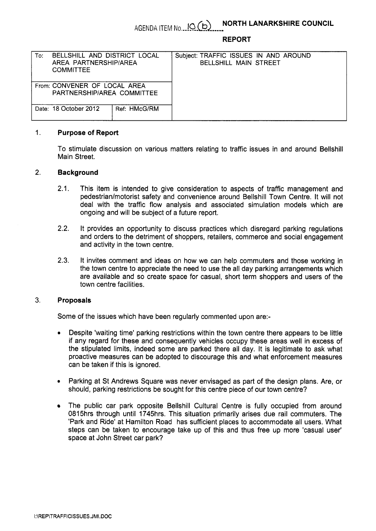# **AGENDA ITEM No... <u>IO (b)</u> NORTH LANARKSHIRE COUNCIL**

#### **REPORT**

| BELLSHILL AND DISTRICT LOCAL<br>To:<br>AREA PARTNERSHIP/AREA<br><b>COMMITTEE</b> | Subject: TRAFFIC ISSUES IN AND AROUND<br><b>BELLSHILL MAIN STREET</b> |
|----------------------------------------------------------------------------------|-----------------------------------------------------------------------|
| From: CONVENER OF LOCAL AREA<br>PARTNERSHIP/AREA COMMITTEE                       |                                                                       |
| Date: 18 October 2012<br>Ref: HMcG/RM                                            |                                                                       |

### 1. **Purpose of Report**

To stimulate discussion on various matters relating to traffic issues in and around Bellshill Main Street.

### **2. Background**

- 2.1. This item is intended to give consideration to aspects of traffic management and pedestrian/motorist safety and convenience around Bellshill Town Centre. It will not deal with the traffic flow analysis and associated simulation models which are ongoing and will be subject of a future report.
- **2.2.**  It provides an opportunity to discuss practices which disregard parking regulations and orders to the detriment of shoppers, retailers, commerce and social engagement and activity in the town centre.
- **2.3.**  It invites comment and ideas on how we can help commuters and those working in the town centre to appreciate the need to use the all day parking arrangements which are available and so create space for casual, short term shoppers and users of the town centre facilities.

#### **3. Proposals**

Some of the issues which have been regularly commented upon are:-

- *0* Despite 'waiting time' parking restrictions within the town centre there appears to be little if any regard for these and consequently vehicles occupy these areas well in excess of the stipulated limits, indeed some are parked there all day. It is legitimate to ask what proactive measures can be adopted to discourage this and what enforcement measures can be taken if this is ignored.
- Parking at St Andrews Square was never envisaged as part of the design plans. Are, or should, parking restrictions be sought for this centre piece of our town centre?
- The public car park opposite Bellshill Cultural Centre is fully occupied from around 0815hrs through until 1745hrs. This situation primarily arises due rail commuters. The 'Park and Ride' at Hamilton Road has sufficient places to accommodate all users. What steps can be taken to encourage take up of this and thus free up more 'casual user' space at John Street car park?